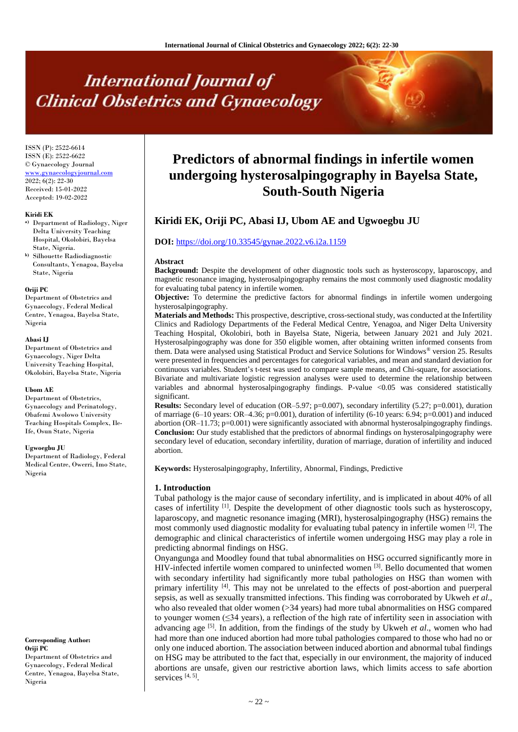# **International Journal of Clinical Obstetrics and Gynaecology**

ISSN (P): 2522-6614 ISSN (E): 2522-6622 © Gynaecology Journal <www.gynaecologyjournal.com> 2022; 6(2): 22-30 Received: 15-01-2022 Accepted: 19-02-2022

#### **Kiridi EK**

- **a)** Department of Radiology, Niger Delta University Teaching Hospital, Okolobiri, Bayelsa State, Nigeria.
- **b)** Silhouette Radiodiagnostic Consultants, Yenagoa, Bayelsa State, Nigeria

#### **Oriji PC**

Department of Obstetrics and Gynaecology, Federal Medical Centre, Yenagoa, Bayelsa State, Nigeria

#### **Abasi IJ**

Department of Obstetrics and Gynaecology, Niger Delta University Teaching Hospital, Okolobiri, Bayelsa State, Nigeria

#### **Ubom AE**

Department of Obstetrics, Gynaecology and Perinatology, Obafemi Awolowo University Teaching Hospitals Complex, Ile-Ife, Osun State, Nigeria

#### **Ugwoegbu JU**

Department of Radiology, Federal Medical Centre, Owerri, Imo State, Nigeria

# **Corresponding Author: Oriji PC**

Department of Obstetrics and Gynaecology, Federal Medical Centre, Yenagoa, Bayelsa State, Nigeria

# **Predictors of abnormal findings in infertile women undergoing hysterosalpingography in Bayelsa State, South-South Nigeria**

# **Kiridi EK, Oriji PC, Abasi IJ, Ubom AE and Ugwoegbu JU**

#### **DOI:** <https://doi.org/10.33545/gynae.2022.v6.i2a.1159>

#### **Abstract**

**Background:** Despite the development of other diagnostic tools such as hysteroscopy, laparoscopy, and magnetic resonance imaging, hysterosalpingography remains the most commonly used diagnostic modality for evaluating tubal patency in infertile women.

**Objective:** To determine the predictive factors for abnormal findings in infertile women undergoing hysterosalpingography.

**Materials and Methods:** This prospective, descriptive, cross-sectional study, was conducted at the Infertility Clinics and Radiology Departments of the Federal Medical Centre, Yenagoa, and Niger Delta University Teaching Hospital, Okolobiri, both in Bayelsa State, Nigeria, between January 2021 and July 2021. Hysterosalpingography was done for 350 eligible women, after obtaining written informed consents from them. Data were analysed using Statistical Product and Service Solutions for Windows® version 25. Results were presented in frequencies and percentages for categorical variables, and mean and standard deviation for continuous variables. Student's t-test was used to compare sample means, and Chi-square, for associations. Bivariate and multivariate logistic regression analyses were used to determine the relationship between variables and abnormal hysterosalpingography findings. P-value <0.05 was considered statistically significant.

**Results:** Secondary level of education (OR–5.97; p=0.007), secondary infertility (5.27; p=0.001), duration of marriage  $(6-10 \text{ years}$ :  $OR-4.36$ ;  $p=0.001$ ), duration of infertility  $(6-10 \text{ years}$ :  $6.94$ ;  $p=0.001$ ) and induced abortion (OR–11.73; p=0.001) were significantly associated with abnormal hysterosalpingography findings. **Conclusion:** Our study established that the predictors of abnormal findings on hysterosalpingography were secondary level of education, secondary infertility, duration of marriage, duration of infertility and induced abortion.

**Keywords:** Hysterosalpingography, Infertility, Abnormal, Findings, Predictive

#### **1. Introduction**

Tubal pathology is the major cause of secondary infertility, and is implicated in about 40% of all cases of infertility [1]. Despite the development of other diagnostic tools such as hysteroscopy, laparoscopy, and magnetic resonance imaging (MRI), hysterosalpingography (HSG) remains the most commonly used diagnostic modality for evaluating tubal patency in infertile women <sup>[2]</sup>. The demographic and clinical characteristics of infertile women undergoing HSG may play a role in predicting abnormal findings on HSG.

Onyangunga and Moodley found that tubal abnormalities on HSG occurred significantly more in HIV-infected infertile women compared to uninfected women [3]. Bello documented that women with secondary infertility had significantly more tubal pathologies on HSG than women with primary infertility [4]. This may not be unrelated to the effects of post-abortion and puerperal sepsis, as well as sexually transmitted infections. This finding was corroborated by Ukweh *et al*., who also revealed that older women (>34 years) had more tubal abnormalities on HSG compared to younger women  $(\leq)$  years), a reflection of the high rate of infertility seen in association with advancing age <sup>[5]</sup>. In addition, from the findings of the study by Ukweh *et al.*, women who had had more than one induced abortion had more tubal pathologies compared to those who had no or only one induced abortion. The association between induced abortion and abnormal tubal findings on HSG may be attributed to the fact that, especially in our environment, the majority of induced abortions are unsafe, given our restrictive abortion laws, which limits access to safe abortion services<sup>[4, 5]</sup>.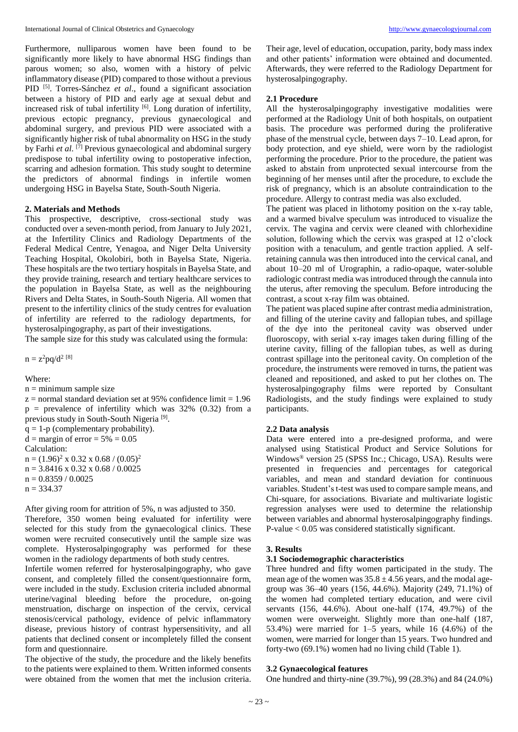Furthermore, nulliparous women have been found to be significantly more likely to have abnormal HSG findings than parous women; so also, women with a history of pelvic inflammatory disease (PID) compared to those without a previous PID [5] . Torres-Sánchez *et al*., found a significant association between a history of PID and early age at sexual debut and increased risk of tubal infertility  $[6]$ . Long duration of infertility, previous ectopic pregnancy, previous gynaecological and abdominal surgery, and previous PID were associated with a significantly higher risk of tubal abnormality on HSG in the study by Farhi *et al*. [7] Previous gynaecological and abdominal surgery predispose to tubal infertility owing to postoperative infection, scarring and adhesion formation. This study sought to determine the predictors of abnormal findings in infertile women undergoing HSG in Bayelsa State, South-South Nigeria.

#### **2. Materials and Methods**

This prospective, descriptive, cross-sectional study was conducted over a seven-month period, from January to July 2021, at the Infertility Clinics and Radiology Departments of the Federal Medical Centre, Yenagoa, and Niger Delta University Teaching Hospital, Okolobiri, both in Bayelsa State, Nigeria. These hospitals are the two tertiary hospitals in Bayelsa State, and they provide training, research and tertiary healthcare services to the population in Bayelsa State, as well as the neighbouring Rivers and Delta States, in South-South Nigeria. All women that present to the infertility clinics of the study centres for evaluation of infertility are referred to the radiology departments, for hysterosalpingography, as part of their investigations.

The sample size for this study was calculated using the formula:

 $n = z^2 pq/d^2$ <sup>[8]</sup>

Where:

 $n =$  minimum sample size

 $z =$  normal standard deviation set at 95% confidence limit = 1.96  $p =$  prevalence of infertility which was 32% (0.32) from a previous study in South-South Nigeria<sup>[9]</sup>.

 $q = 1-p$  (complementary probability).

 $d = margin of error = 5\% = 0.05$ Calculation:  $n = (1.96)^2 \times 0.32 \times 0.68 / (0.05)^2$ n = 3.8416 x 0.32 x 0.68 / 0.0025

 $n = 0.8359 / 0.0025$ 

 $n = 334.37$ 

After giving room for attrition of 5%, n was adjusted to 350. Therefore, 350 women being evaluated for infertility were selected for this study from the gynaecological clinics. These women were recruited consecutively until the sample size was complete. Hysterosalpingography was performed for these women in the radiology departments of both study centres.

Infertile women referred for hysterosalpingography, who gave consent, and completely filled the consent/questionnaire form, were included in the study. Exclusion criteria included abnormal uterine/vaginal bleeding before the procedure, on-going menstruation, discharge on inspection of the cervix, cervical stenosis/cervical pathology, evidence of pelvic inflammatory disease, previous history of contrast hypersensitivity, and all patients that declined consent or incompletely filled the consent form and questionnaire.

The objective of the study, the procedure and the likely benefits to the patients were explained to them. Written informed consents were obtained from the women that met the inclusion criteria.

Their age, level of education, occupation, parity, body mass index and other patients' information were obtained and documented. Afterwards, they were referred to the Radiology Department for hysterosalpingography.

# **2.1 Procedure**

All the hysterosalpingography investigative modalities were performed at the Radiology Unit of both hospitals, on outpatient basis. The procedure was performed during the proliferative phase of the menstrual cycle, between days 7–10. Lead apron, for body protection, and eye shield, were worn by the radiologist performing the procedure. Prior to the procedure, the patient was asked to abstain from unprotected sexual intercourse from the beginning of her menses until after the procedure, to exclude the risk of pregnancy, which is an absolute contraindication to the procedure. Allergy to contrast media was also excluded.

The patient was placed in lithotomy position on the x-ray table, and a warmed bivalve speculum was introduced to visualize the cervix. The vagina and cervix were cleaned with chlorhexidine solution, following which the cervix was grasped at 12 o'clock position with a tenaculum, and gentle traction applied. A selfretaining cannula was then introduced into the cervical canal, and about 10–20 ml of Urographin, a radio-opaque, water-soluble radiologic contrast media was introduced through the cannula into the uterus, after removing the speculum. Before introducing the contrast, a scout x-ray film was obtained.

The patient was placed supine after contrast media administration, and filling of the uterine cavity and fallopian tubes, and spillage of the dye into the peritoneal cavity was observed under fluoroscopy, with serial x-ray images taken during filling of the uterine cavity, filling of the fallopian tubes, as well as during contrast spillage into the peritoneal cavity. On completion of the procedure, the instruments were removed in turns, the patient was cleaned and repositioned, and asked to put her clothes on. The hysterosalpingography films were reported by Consultant Radiologists, and the study findings were explained to study participants.

#### **2.2 Data analysis**

Data were entered into a pre-designed proforma, and were analysed using Statistical Product and Service Solutions for Windows® version 25 (SPSS Inc.; Chicago, USA). Results were presented in frequencies and percentages for categorical variables, and mean and standard deviation for continuous variables. Student's t-test was used to compare sample means, and Chi-square, for associations. Bivariate and multivariate logistic regression analyses were used to determine the relationship between variables and abnormal hysterosalpingography findings. P-value < 0.05 was considered statistically significant.

# **3. Results**

# **3.1 Sociodemographic characteristics**

Three hundred and fifty women participated in the study. The mean age of the women was  $35.8 \pm 4.56$  years, and the modal agegroup was 36–40 years (156, 44.6%). Majority (249, 71.1%) of the women had completed tertiary education, and were civil servants (156, 44.6%). About one-half (174, 49.7%) of the women were overweight. Slightly more than one-half (187, 53.4%) were married for 1–5 years, while 16 (4.6%) of the women, were married for longer than 15 years. Two hundred and forty-two (69.1%) women had no living child (Table 1).

#### **3.2 Gynaecological features**

One hundred and thirty-nine (39.7%), 99 (28.3%) and 84 (24.0%)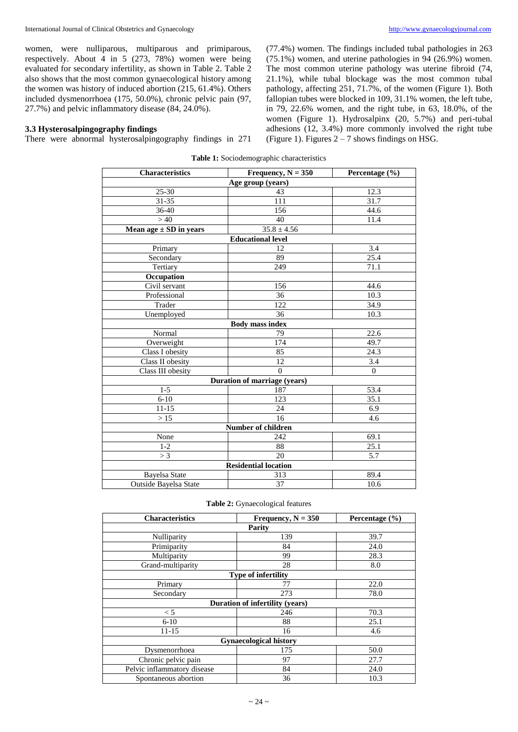women, were nulliparous, multiparous and primiparous, respectively. About 4 in 5 (273, 78%) women were being evaluated for secondary infertility, as shown in Table 2. Table 2 also shows that the most common gynaecological history among the women was history of induced abortion (215, 61.4%). Others included dysmenorrhoea (175, 50.0%), chronic pelvic pain (97, 27.7%) and pelvic inflammatory disease (84, 24.0%).

### **3.3 Hysterosalpingography findings**

There were abnormal hysterosalpingography findings in 271

(77.4%) women. The findings included tubal pathologies in 263 (75.1%) women, and uterine pathologies in 94 (26.9%) women. The most common uterine pathology was uterine fibroid (74, 21.1%), while tubal blockage was the most common tubal pathology, affecting 251, 71.7%, of the women (Figure 1). Both fallopian tubes were blocked in 109, 31.1% women, the left tube, in 79, 22.6% women, and the right tube, in 63, 18.0%, of the women (Figure 1). Hydrosalpinx (20, 5.7%) and peri-tubal adhesions (12, 3.4%) more commonly involved the right tube (Figure 1). Figures  $2 - 7$  shows findings on HSG.

**Table 1:** Sociodemographic characteristics

| <b>Characteristics</b>            | Frequency, $N = 350$         | Percentage (%) |  |  |  |  |
|-----------------------------------|------------------------------|----------------|--|--|--|--|
|                                   | Age group (years)            |                |  |  |  |  |
| $25 - 30$                         | 43                           | 12.3           |  |  |  |  |
| 31-35                             | 111                          | 31.7           |  |  |  |  |
| 36-40                             | 156                          | 44.6           |  |  |  |  |
| >40                               | 40                           | 11.4           |  |  |  |  |
| Mean age $\pm$ SD in years        | $35.8 \pm 4.56$              |                |  |  |  |  |
|                                   | <b>Educational level</b>     |                |  |  |  |  |
| Primary                           | 12                           | 3.4            |  |  |  |  |
| Secondary                         | 89                           | 25.4           |  |  |  |  |
| Tertiary                          | 249                          | 71.1           |  |  |  |  |
| Occupation                        |                              |                |  |  |  |  |
| $\overline{\text{Civil}}$ servant | 156                          | 44.6           |  |  |  |  |
| Professional                      | 36                           | 10.3           |  |  |  |  |
| Trader                            | 122                          | 34.9           |  |  |  |  |
| Unemployed                        | 36                           | 10.3           |  |  |  |  |
|                                   | <b>Body mass index</b>       |                |  |  |  |  |
| Normal                            | 79                           | 22.6           |  |  |  |  |
| Overweight                        | 174                          | 49.7           |  |  |  |  |
| Class I obesity                   | 85                           | 24.3           |  |  |  |  |
| Class II obesity                  | 12                           | 3.4            |  |  |  |  |
| Class III obesity                 | $\Omega$                     | $\mathbf{0}$   |  |  |  |  |
|                                   | Duration of marriage (years) |                |  |  |  |  |
| $1 - 5$                           | 187                          | 53.4           |  |  |  |  |
| $6 - 10$                          | 123                          | 35.1           |  |  |  |  |
| $11 - 15$                         | 24                           | 6.9            |  |  |  |  |
| >15                               | 16                           | 4.6            |  |  |  |  |
| Number of children                |                              |                |  |  |  |  |
| None                              | 242                          | 69.1           |  |  |  |  |
| $1 - 2$                           | 88                           | 25.1           |  |  |  |  |
| > 3                               | 20                           | 5.7            |  |  |  |  |
|                                   | <b>Residential location</b>  |                |  |  |  |  |
| <b>Bayelsa State</b>              | 313                          | 89.4           |  |  |  |  |
| Outside Bayelsa State             | 37                           | 10.6           |  |  |  |  |

|  | Table 2: Gynaecological features |  |
|--|----------------------------------|--|
|--|----------------------------------|--|

| <b>Characteristics</b>        | Frequency, $N = 350$            | Percentage $(\% )$ |  |  |
|-------------------------------|---------------------------------|--------------------|--|--|
| Parity                        |                                 |                    |  |  |
| Nulliparity                   | 139                             | 39.7               |  |  |
| Primiparity                   | 84                              | 24.0               |  |  |
| Multiparity                   | 99                              | 28.3               |  |  |
| Grand-multiparity             | 28                              | 8.0                |  |  |
|                               | <b>Type of infertility</b>      |                    |  |  |
| Primary                       | 77                              | 22.0               |  |  |
| Secondary                     | 273                             | 78.0               |  |  |
|                               | Duration of infertility (years) |                    |  |  |
| < 5                           | 246                             | 70.3               |  |  |
| $6-10$                        | 88                              | 25.1               |  |  |
| 11-15                         | 16                              | 4.6                |  |  |
| <b>Gynaecological history</b> |                                 |                    |  |  |
| Dysmenorrhoea                 | 175                             | 50.0               |  |  |
| Chronic pelvic pain           | 97                              | 27.7               |  |  |
| Pelvic inflammatory disease   | 84                              | 24.0               |  |  |
| Spontaneous abortion          | 36                              | 10.3               |  |  |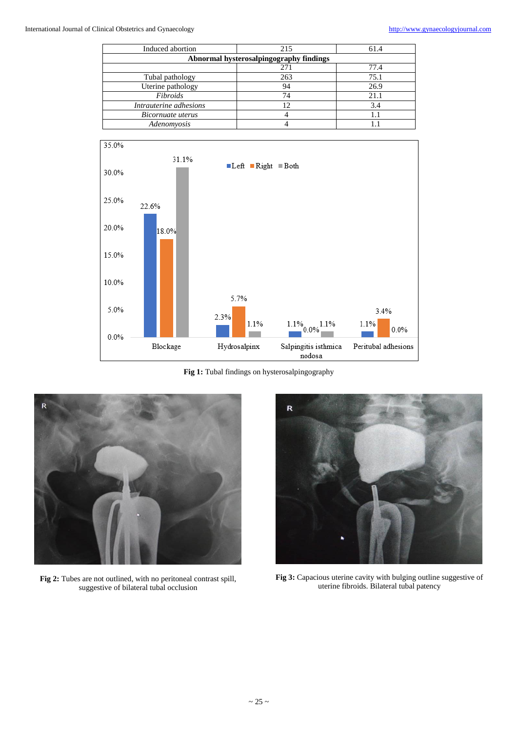| Induced abortion                        | 215 | 61.4 |  |  |  |  |
|-----------------------------------------|-----|------|--|--|--|--|
| Abnormal hysterosalpingography findings |     |      |  |  |  |  |
| 271<br>77.4                             |     |      |  |  |  |  |
| Tubal pathology                         | 263 | 75.1 |  |  |  |  |
| Uterine pathology                       | 94  | 26.9 |  |  |  |  |
| Fibroids                                | 74  | 21.1 |  |  |  |  |
| Intrauterine adhesions                  | 12  | 3.4  |  |  |  |  |
| Bicornuate uterus                       |     |      |  |  |  |  |
| Adenomyosis                             |     |      |  |  |  |  |



Fig 1: Tubal findings on hysterosalpingography



**Fig 2:** Tubes are not outlined, with no peritoneal contrast spill, suggestive of bilateral tubal occlusion



**Fig 3:** Capacious uterine cavity with bulging outline suggestive of uterine fibroids. Bilateral tubal patency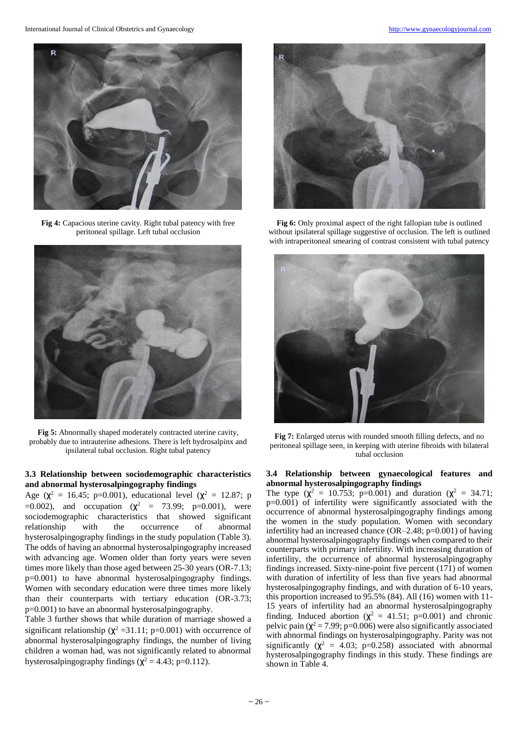

**Fig 4:** Capacious uterine cavity. Right tubal patency with free peritoneal spillage. Left tubal occlusion



**Fig 5:** Abnormally shaped moderately contracted uterine cavity, probably due to intrauterine adhesions. There is left hydrosalpinx and ipsilateral tubal occlusion. Right tubal patency

# **3.3 Relationship between sociodemographic characteristics and abnormal hysterosalpingography findings**

Age ( $\chi^2 = 16.45$ ; p=0.001), educational level ( $\chi^2 = 12.87$ ; p  $=0.002$ ), and occupation ( $\chi^2 = 73.99$ ; p=0.001), were sociodemographic characteristics that showed significant relationship with the occurrence of abnormal hysterosalpingography findings in the study population (Table 3). The odds of having an abnormal hysterosalpingography increased with advancing age. Women older than forty years were seven times more likely than those aged between 25-30 years (OR-7.13; p=0.001) to have abnormal hysterosalpingography findings. Women with secondary education were three times more likely than their counterparts with tertiary education (OR-3.73; p=0.001) to have an abnormal hysterosalpingography.

Table 3 further shows that while duration of marriage showed a significant relationship ( $\chi^2$  =31.11; p=0.001) with occurrence of abnormal hysterosalpingography findings, the number of living children a woman had, was not significantly related to abnormal hysterosalpingography findings ( $\chi^2$  = 4.43; p=0.112).



**Fig 6:** Only proximal aspect of the right fallopian tube is outlined without ipsilateral spillage suggestive of occlusion. The left is outlined with intraperitoneal smearing of contrast consistent with tubal patency



**Fig 7:** Enlarged uterus with rounded smooth filling defects, and no peritoneal spillage seen, in keeping with uterine fibroids with bilateral tubal occlusion

#### **3.4 Relationship between gynaecological features and abnormal hysterosalpingography findings**

The type  $(\chi^2 = 10.753; \text{ p=0.001})$  and duration  $(\chi^2 = 34.71;$ p=0.001) of infertility were significantly associated with the occurrence of abnormal hysterosalpingography findings among the women in the study population. Women with secondary infertility had an increased chance (OR–2.48; p=0.001) of having abnormal hysterosalpingography findings when compared to their counterparts with primary infertility. With increasing duration of infertility, the occurrence of abnormal hysterosalpingography findings increased. Sixty-nine-point five percent (171) of women with duration of infertility of less than five years had abnormal hysterosalpingography findings, and with duration of 6-10 years, this proportion increased to 95.5% (84). All (16) women with 11- 15 years of infertility had an abnormal hysterosalpingography finding. Induced abortion ( $\chi^2$  = 41.51; p=0.001) and chronic pelvic pain ( $\chi^2$  = 7.99; p=0.006) were also significantly associated with abnormal findings on hysterosalpingography. Parity was not significantly ( $\chi^2$  = 4.03; p=0.258) associated with abnormal hysterosalpingography findings in this study. These findings are shown in Table 4.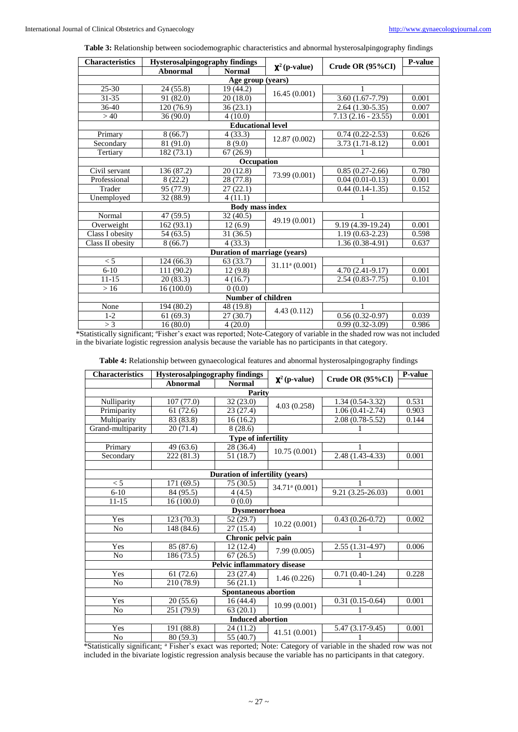**Table 3:** Relationship between sociodemographic characteristics and abnormal hysterosalpingography findings

| <b>Characteristics</b>    | <b>Hysterosalpingography</b> findings |                              |                          |                      | P-value |  |
|---------------------------|---------------------------------------|------------------------------|--------------------------|----------------------|---------|--|
|                           | <b>Abnormal</b>                       | <b>Normal</b>                | $\mathbf{X}^2$ (p-value) | Crude OR (95%CI)     |         |  |
| Age group (years)         |                                       |                              |                          |                      |         |  |
| $25 - 30$                 | 24(55.8)                              | 19 (44.2)                    |                          |                      |         |  |
| 31-35                     | 91 (82.0)                             | 20(18.0)                     | 16.45(0.001)             | $3.60(1.67-7.79)$    | 0.001   |  |
| 36-40                     | 120 (76.9)                            | 36(23.1)                     |                          | $2.64(1.30-5.35)$    | 0.007   |  |
| >40                       | 36(90.0)                              | 4(10.0)                      |                          | $7.13(2.16 - 23.55)$ | 0.001   |  |
|                           |                                       | <b>Educational level</b>     |                          |                      |         |  |
| Primary                   | 8(66.7)                               | 4(33.3)                      |                          | $0.74(0.22 - 2.53)$  | 0.626   |  |
| Secondary                 | 81 (91.0)                             | 8(9.0)                       | 12.87 (0.002)            | $3.73(1.71-8.12)$    | 0.001   |  |
| Tertiary                  | 182(73.1)                             | 67(26.9)                     |                          |                      |         |  |
|                           |                                       | Occupation                   |                          |                      |         |  |
| Civil servant             | 136 (87.2)                            | 20(12.8)                     | 73.99 (0.001)            | $0.85(0.27-2.66)$    | 0.780   |  |
| Professional              | 8(22.2)                               | 28 (77.8)                    |                          | $0.04(0.01-0.13)$    | 0.001   |  |
| Trader                    | 95 (77.9)                             | 27(22.1)                     |                          | $0.44(0.14-1.35)$    | 0.152   |  |
| Unemployed                | 32 (88.9)                             | 4(11.1)                      |                          | 1                    |         |  |
|                           |                                       | <b>Body mass index</b>       |                          |                      |         |  |
| Normal                    | 47 (59.5)                             | $\overline{32(40.5)}$        | 49.19 (0.001)            | 1                    |         |  |
| Overweight                | 162(93.1)                             | 12(6.9)                      |                          | 9.19 (4.39-19.24)    | 0.001   |  |
| Class I obesity           | 54 (63.5)                             | 31(36.5)                     |                          | $1.19(0.63 - 2.23)$  | 0.598   |  |
| Class II obesity          | 8(66.7)                               | 4(33.3)                      |                          | $1.36(0.38-4.91)$    | 0.637   |  |
|                           |                                       | Duration of marriage (years) |                          |                      |         |  |
| < 5                       | 124(66.3)                             | 63 (33.7)                    | $31.11a$ (0.001)         |                      |         |  |
| $6-10$                    | 111 (90.2)                            | 12(9.8)                      |                          | $4.70(2.41-9.17)$    | 0.001   |  |
| $11 - 15$                 | 20(83.3)                              | 4(16.7)                      |                          | $2.54(0.83 - 7.75)$  | 0.101   |  |
| >16                       | 16(100.0)                             | 0(0.0)                       |                          |                      |         |  |
| <b>Number of children</b> |                                       |                              |                          |                      |         |  |
| None                      | 194 (80.2)                            | 48 (19.8)                    | 4.43(0.112)              |                      |         |  |
| $1 - 2$                   | 61(69.3)                              | 27 (30.7)                    |                          | $0.56(0.32-0.97)$    | 0.039   |  |
| > 3                       | 16(80.0)                              | 4(20.0)                      |                          | $0.99(0.32 - 3.09)$  | 0.986   |  |

\*Statistically significant; <sup>a</sup>Fisher's exact was reported; Note-Category of variable in the shaded row was not included in the bivariate logistic regression analysis because the variable has no participants in that category.

**Table 4:** Relationship between gynaecological features and abnormal hysterosalpingography findings

| <b>Characteristics</b><br>Hysterosalpingography findings |            |                                 | Crude OR (95%CI)         | P-value             |       |  |
|----------------------------------------------------------|------------|---------------------------------|--------------------------|---------------------|-------|--|
|                                                          | Abnormal   | <b>Normal</b>                   | $\mathbf{X}^2$ (p-value) |                     |       |  |
|                                                          |            | Parity                          |                          |                     |       |  |
| Nulliparity                                              | 107(77.0)  | 32(23.0)                        | 4.03 (0.258)             | $1.34(0.54-3.32)$   | 0.531 |  |
| Primiparity                                              | 61(72.6)   | 23 (27.4)                       |                          | $1.06(0.41 - 2.74)$ | 0.903 |  |
| Multiparity                                              | 83(83.8)   | 16(16.2)                        |                          | $2.08(0.78-5.52)$   | 0.144 |  |
| Grand-multiparity                                        | 20(71.4)   | 8(28.6)                         |                          |                     |       |  |
|                                                          |            | <b>Type of infertility</b>      |                          |                     |       |  |
| Primary                                                  | 49 (63.6)  | 28 (36.4)                       |                          |                     |       |  |
| Secondary                                                | 222(81.3)  | 51(18.7)                        | 10.75(0.001)             | $2.48(1.43-4.33)$   | 0.001 |  |
|                                                          |            |                                 |                          |                     |       |  |
|                                                          |            | Duration of infertility (years) |                          |                     |       |  |
| < 5                                                      | 171 (69.5) | 75 (30.5)                       | $34.71a$ (0.001)         |                     |       |  |
| $6-10$                                                   | 84 (95.5)  | 4(4.5)                          |                          | $9.21(3.25-26.03)$  | 0.001 |  |
| $11 - 15$                                                | 16(100.0)  | 0(0.0)                          |                          |                     |       |  |
|                                                          |            | <b>Dysmenorrhoea</b>            |                          |                     |       |  |
| Yes                                                      | 123(70.3)  | 52 (29.7)                       | 10.22(0.001)             | $0.43(0.26-0.72)$   | 0.002 |  |
| N <sub>o</sub>                                           | 148 (84.6) | 27(15.4)                        |                          | 1                   |       |  |
|                                                          |            | Chronic pelvic pain             |                          |                     |       |  |
| Yes                                                      | 85 (87.6)  | 12(12.4)                        | 7.99(0.005)              | $2.55(1.31-4.97)$   | 0.006 |  |
| N <sub>0</sub>                                           | 186 (73.5) | 67(26.5)                        |                          |                     |       |  |
|                                                          |            | Pelvic inflammatory disease     |                          |                     |       |  |
| Yes                                                      | 61(72.6)   | 23 (27.4)                       | 1.46(0.226)              | $0.71(0.40-1.24)$   | 0.228 |  |
| N <sub>0</sub>                                           | 210 (78.9) | 56(21.1)                        |                          |                     |       |  |
| <b>Spontaneous abortion</b>                              |            |                                 |                          |                     |       |  |
| Yes                                                      | 20(55.6)   | 16(44.4)                        |                          | $0.31(0.15-0.64)$   | 0.001 |  |
| N <sub>0</sub>                                           | 251 (79.9) | 63(20.1)                        | 10.99(0.001)             | 1                   |       |  |
| <b>Induced abortion</b>                                  |            |                                 |                          |                     |       |  |
| Yes                                                      | 191 (88.8) | 24 (11.2)                       | 41.51 (0.001)            | $5.47(3.17-9.45)$   | 0.001 |  |
| N <sub>0</sub>                                           | 80(59.3)   | 55 (40.7)                       |                          | 1                   |       |  |

\*Statistically significant; <sup>a</sup> Fisher's exact was reported; Note: Category of variable in the shaded row was not included in the bivariate logistic regression analysis because the variable has no participants in that category.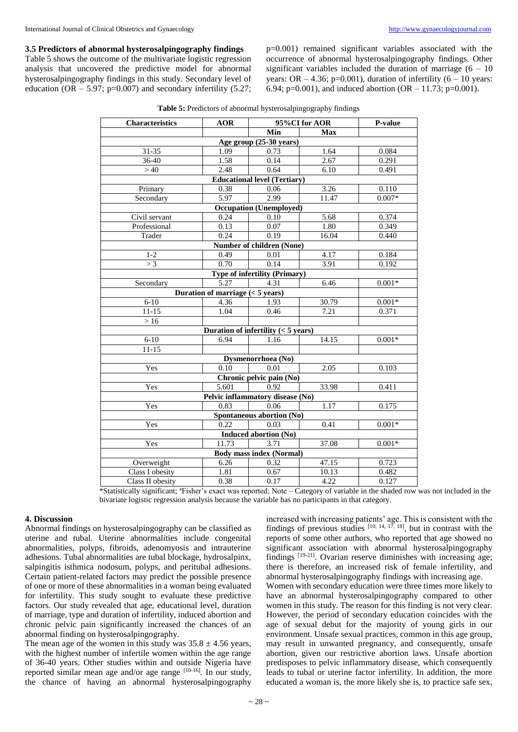**3.5 Predictors of abnormal hysterosalpingography findings**

Table 5 shows the outcome of the multivariate logistic regression analysis that uncovered the predictive model for abnormal hysterosalpingography findings in this study. Secondary level of education  $(OR - 5.97; p=0.007)$  and secondary infertility  $(5.27;$  p=0.001) remained significant variables associated with the occurrence of abnormal hysterosalpingography findings. Other significant variables included the duration of marriage  $(6 - 10)$ years: OR  $-4.36$ ; p=0.001), duration of infertility (6  $-10$  years: 6.94; p=0.001), and induced abortion  $(OR - 11.73; p=0.001)$ .

| Table 5: Predictors of abnormal hysterosalpingography findings |  |  |
|----------------------------------------------------------------|--|--|
|----------------------------------------------------------------|--|--|

| <b>Characteristics</b>                          | <b>AOR</b>                         | 95%CI for AOR                         | P-value                 |          |  |
|-------------------------------------------------|------------------------------------|---------------------------------------|-------------------------|----------|--|
|                                                 |                                    | Min                                   | <b>Max</b>              |          |  |
|                                                 |                                    | Age group (25-30 years)               |                         |          |  |
| 31-35                                           | 1.09                               | 0.73                                  | 1.64                    | 0.084    |  |
| 36-40                                           | 1.58                               | 0.14                                  | 2.67                    | 0.291    |  |
| >40                                             | 2.48                               | 0.64                                  | 6.10                    | 0.491    |  |
|                                                 |                                    | <b>Educational level (Tertiary)</b>   |                         |          |  |
| Primary                                         | 0.38                               | 0.06                                  | 3.26                    | 0.110    |  |
| Secondary                                       | 5.97                               | 2.99                                  | 11.47                   | $0.007*$ |  |
|                                                 |                                    | <b>Occupation</b> (Unemployed)        |                         |          |  |
| Civil servant                                   | 0.24                               | 0.10                                  | 5.68                    | 0.374    |  |
| Professional                                    | 0.13                               | 0.07                                  | 1.80                    | 0.349    |  |
| Trader                                          | 0.24                               | 0.19                                  | 16.04                   | 0.440    |  |
|                                                 |                                    | Number of children (None)             |                         |          |  |
| $1 - 2$                                         | 0.49                               | 0.01                                  | 4.17                    | 0.184    |  |
| >3                                              | 0.70                               | 0.14                                  | 3.91                    | 0.192    |  |
|                                                 |                                    | Type of infertility (Primary)         |                         |          |  |
| Secondary                                       | 5.27                               | 4.31                                  | 6.46                    | $0.001*$ |  |
|                                                 | Duration of marriage $(< 5$ years) |                                       |                         |          |  |
| $6-10$                                          | 4.36                               | 1.93                                  | 30.79                   | $0.001*$ |  |
| $11 - 15$                                       | 1.04                               | 0.46                                  | 7.21                    | 0.371    |  |
| $>16$                                           |                                    |                                       |                         |          |  |
|                                                 |                                    | Duration of infertility $(< 5$ years) |                         |          |  |
| $6 - 10$                                        | 6.94                               | 1.16                                  | 14.15                   | $0.001*$ |  |
| $11 - 15$                                       |                                    |                                       |                         |          |  |
|                                                 |                                    | Dysmenorrhoea (No)                    |                         |          |  |
| Yes                                             | $\overline{0.10}$                  | 0.01                                  | 2.05                    | 0.103    |  |
|                                                 |                                    | Chronic pelvic pain (No)              |                         |          |  |
| Yes                                             | 5.601                              | 0.92                                  | 33.98                   | 0.411    |  |
| Pelvic inflammatory disease (No)                |                                    |                                       |                         |          |  |
| Yes                                             | 0.83                               | 0.06                                  | 1.17                    | 0.175    |  |
| Spontaneous abortion (No)                       |                                    |                                       |                         |          |  |
| Yes                                             | 0.22                               | 0.03                                  | 0.41                    | $0.001*$ |  |
| Induced abortion (No)                           |                                    |                                       |                         |          |  |
| Yes                                             | 11.73                              | 3.71                                  | 37.08                   | $0.001*$ |  |
| <b>Body mass index (Normal)</b>                 |                                    |                                       |                         |          |  |
| Overweight                                      | 6.26                               | 0.32                                  | 47.15                   | 0.723    |  |
| Class I obesity                                 | 1.81                               | 0.67                                  | 10.13                   | 0.482    |  |
| Class II obesity                                | 0.38                               | 0.17                                  | 4.22                    | 0.127    |  |
| $\overline{11}$ $\overline{1}$<br>$\sim$ $\sim$ |                                    | 1.37                                  | $\cdot$ $\cdot$ $\cdot$ |          |  |

\*Statistically significant; <sup>a</sup>Fisher's exact was reported; Note – Category of variable in the shaded row was not included in the bivariate logistic regression analysis because the variable has no participants in that category.

#### **4. Discussion**

Abnormal findings on hysterosalpingography can be classified as uterine and tubal. Uterine abnormalities include congenital abnormalities, polyps, fibroids, adenomyosis and intrauterine adhesions. Tubal abnormalities are tubal blockage, hydrosalpinx, salpingitis isthmica nodosum, polyps, and peritubal adhesions. Certain patient-related factors may predict the possible presence of one or more of these abnormalities in a woman being evaluated for infertility. This study sought to evaluate these predictive factors. Our study revealed that age, educational level, duration of marriage, type and duration of infertility, induced abortion and chronic pelvic pain significantly increased the chances of an abnormal finding on hysterosalpingography.

The mean age of the women in this study was  $35.8 \pm 4.56$  years, with the highest number of infertile women within the age range of 36-40 years. Other studies within and outside Nigeria have reported similar mean age and/or age range [10-16]. In our study, the chance of having an abnormal hysterosalpingography

increased with increasing patients' age. This is consistent with the findings of previous studies  $[10, 14, 17, 18]$ , but in contrast with the reports of some other authors, who reported that age showed no significant association with abnormal hysterosalpingography findings <sup>[19-21]</sup>. Ovarian reserve diminishes with increasing age; there is therefore, an increased risk of female infertility, and abnormal hysterosalpingography findings with increasing age. Women with secondary education were three times more likely to have an abnormal hysterosalpingography compared to other women in this study. The reason for this finding is not very clear. However, the period of secondary education coincides with the age of sexual debut for the majority of young girls in our environment. Unsafe sexual practices, common in this age group, may result in unwanted pregnancy, and consequently, unsafe abortion, given our restrictive abortion laws. Unsafe abortion predisposes to pelvic inflammatory disease, which consequently leads to tubal or uterine factor infertility. In addition, the more educated a woman is, the more likely she is, to practice safe sex,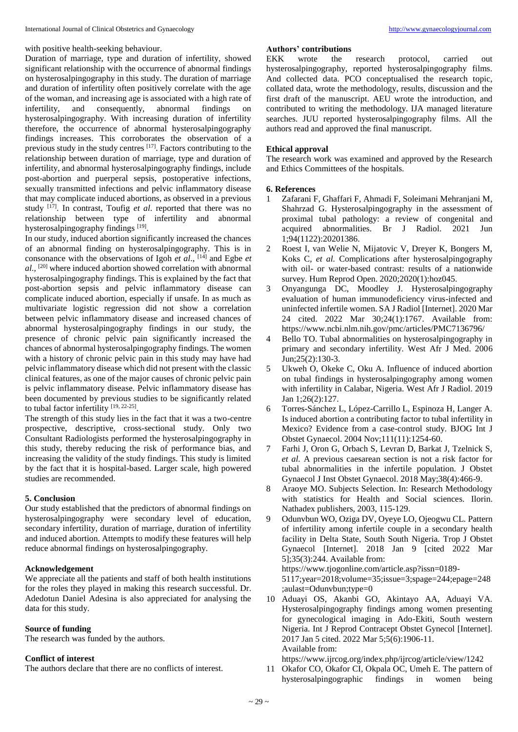with positive health-seeking behaviour.

Duration of marriage, type and duration of infertility, showed significant relationship with the occurrence of abnormal findings on hysterosalpingography in this study. The duration of marriage and duration of infertility often positively correlate with the age of the woman, and increasing age is associated with a high rate of infertility, and consequently, abnormal findings on infertility, and consequently, abnormal findings on hysterosalpingography. With increasing duration of infertility therefore, the occurrence of abnormal hysterosalpingography findings increases. This corroborates the observation of a previous study in the study centres <sup>[17]</sup>. Factors contributing to the relationship between duration of marriage, type and duration of infertility, and abnormal hysterosalpingography findings, include post-abortion and puerperal sepsis, postoperative infections, sexually transmitted infections and pelvic inflammatory disease that may complicate induced abortions, as observed in a previous study <sup>[17]</sup>. In contrast, Toufig *et al*. reported that there was no relationship between type of infertility and abnormal hysterosalpingography findings [19].

In our study, induced abortion significantly increased the chances of an abnormal finding on hysterosalpingography. This is in consonance with the observations of Igoh *et al*., [14] and Egbe *et al*., [20] where induced abortion showed correlation with abnormal hysterosalpingography findings. This is explained by the fact that post-abortion sepsis and pelvic inflammatory disease can complicate induced abortion, especially if unsafe. In as much as multivariate logistic regression did not show a correlation between pelvic inflammatory disease and increased chances of abnormal hysterosalpingography findings in our study, the presence of chronic pelvic pain significantly increased the chances of abnormal hysterosalpingography findings. The women with a history of chronic pelvic pain in this study may have had pelvic inflammatory disease which did not present with the classic clinical features, as one of the major causes of chronic pelvic pain is pelvic inflammatory disease. Pelvic inflammatory disease has been documented by previous studies to be significantly related to tubal factor infertility [19, 22-25].

The strength of this study lies in the fact that it was a two-centre prospective, descriptive, cross-sectional study. Only two Consultant Radiologists performed the hysterosalpingography in this study, thereby reducing the risk of performance bias, and increasing the validity of the study findings. This study is limited by the fact that it is hospital-based. Larger scale, high powered studies are recommended.

# **5. Conclusion**

Our study established that the predictors of abnormal findings on hysterosalpingography were secondary level of education, secondary infertility, duration of marriage, duration of infertility and induced abortion. Attempts to modify these features will help reduce abnormal findings on hysterosalpingography.

# **Acknowledgement**

We appreciate all the patients and staff of both health institutions for the roles they played in making this research successful. Dr. Adedotun Daniel Adesina is also appreciated for analysing the data for this study.

#### **Source of funding**

The research was funded by the authors.

#### **Conflict of interest**

The authors declare that there are no conflicts of interest.

# **Authors' contributions**

EKK wrote the research protocol, carried out hysterosalpingography, reported hysterosalpingography films. And collected data. PCO conceptualised the research topic, collated data, wrote the methodology, results, discussion and the first draft of the manuscript. AEU wrote the introduction, and contributed to writing the methodology. IJA managed literature searches. JUU reported hysterosalpingography films. All the authors read and approved the final manuscript.

#### **Ethical approval**

The research work was examined and approved by the Research and Ethics Committees of the hospitals.

#### **6. References**

- 1 Zafarani F, Ghaffari F, Ahmadi F, Soleimani Mehranjani M, Shahrzad G. Hysterosalpingography in the assessment of proximal tubal pathology: a review of congenital and acquired abnormalities. Br J Radiol. 2021 Jun 1;94(1122):20201386.
- 2 Roest I, van Welie N, Mijatovic V, Dreyer K, Bongers M, Koks C*, et al.* Complications after hysterosalpingography with oil- or water-based contrast: results of a nationwide survey. Hum Reprod Open. 2020;2020(1):hoz045.
- 3 Onyangunga DC, Moodley J. Hysterosalpingography evaluation of human immunodeficiency virus-infected and uninfected infertile women. SA J Radiol [Internet]. 2020 Mar 24 cited. 2022 Mar 30;24(1):1767. Available from: https://www.ncbi.nlm.nih.gov/pmc/articles/PMC7136796/
- 4 Bello TO. Tubal abnormalities on hysterosalpingography in primary and secondary infertility. West Afr J Med. 2006 Jun;25(2):130-3.
- 5 Ukweh O, Okeke C, Oku A. Influence of induced abortion on tubal findings in hysterosalpingography among women with infertility in Calabar, Nigeria. West Afr J Radiol. 2019 Jan 1;26(2):127.
- 6 Torres-Sánchez L, López-Carrillo L, Espinoza H, Langer A. Is induced abortion a contributing factor to tubal infertility in Mexico? Evidence from a case-control study. BJOG Int J Obstet Gynaecol. 2004 Nov;111(11):1254-60.
- 7 Farhi J, Oron G, Orbach S, Levran D, Barkat J, Tzelnick S, *et al.* A previous caesarean section is not a risk factor for tubal abnormalities in the infertile population. J Obstet Gynaecol J Inst Obstet Gynaecol. 2018 May;38(4):466-9.
- 8 Araoye MO. Subjects Selection. In: Research Methodology with statistics for Health and Social sciences. Ilorin. Nathadex publishers, 2003, 115-129.
- 9 Odunvbun WO, Oziga DV, Oyeye LO, Ojeogwu CL. Pattern of infertility among infertile couple in a secondary health facility in Delta State, South South Nigeria. Trop J Obstet Gynaecol [Internet]. 2018 Jan 9 [cited 2022 Mar 5];35(3):244. Available from: https://www.tjogonline.com/article.asp?issn=0189-

5117;year=2018;volume=35;issue=3;spage=244;epage=248

;aulast=Odunvbun;type=0 10 Aduayi OS, Akanbi GO, Akintayo AA, Aduayi VA. Hysterosalpingography findings among women presenting for gynecological imaging in Ado-Ekiti, South western Nigeria. Int J Reprod Contracept Obstet Gynecol [Internet]. 2017 Jan 5 cited. 2022 Mar 5;5(6):1906-11. Available from:

https://www.ijrcog.org/index.php/ijrcog/article/view/1242

11 Okafor CO, Okafor CI, Okpala OC, Umeh E. The pattern of hysterosalpingographic findings in women being